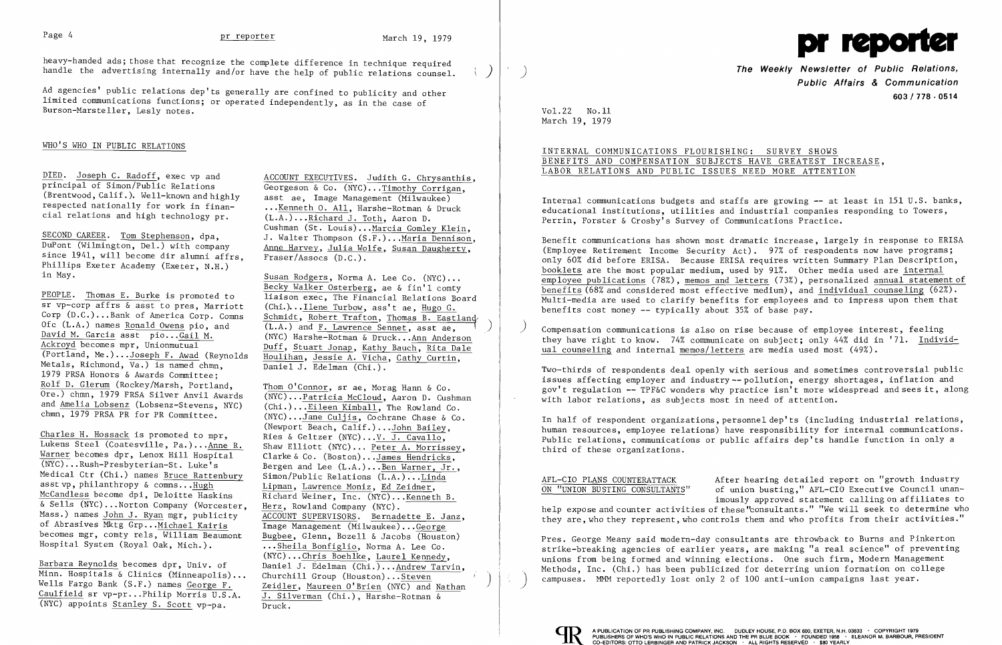heavy-handed ads; those that recognize the complete difference in technique required handle the advertising internally and/or have the help of public relations counsel.

Ad agencies' public relations dep'ts generally are confined to publicity and other limited communications functions; or operated independently, as in the case of Burson-Marsteller, Les1y notes.

# WHO'S WHO IN PUBLIC RELATIONS

DIED. Joseph C. Radoff, exec vp and ACCOUNT EXECUTIVES. Judith G. Chrysanthis. principal of Simon/Public Relations (Brentwood, Calif.). Well-known and highly respected nationally for work in finan cial relations and high technology  $pr.$ 

 Susan Rodgers, Norma A. Lee Co. (NYC) ... Becky Walker Osterberg, ae & fin'l comty liaison exec, The Financial Relations Board sr vp-corp affrs & asst to pres, Marriott (Chi.)... <u>Ilene Turbow</u>, ass't ae, Hugo G.<br>Corp (D.C.)...Bank of America Corp. Comns Schmidt, Robert Trafton, Thomas B. Eastland (Chi.)...Ilene Turbow, ass't ae, Hugo G.  $(L.A.)$  and F. Lawrence Sennet, asst ae, (NYC) Harshe-Rotman & Druck ...Ann Anderson Ackroyd becomes mpr, Unionmutual Duff, Stuart Jonap, Kathy Bauch, Rita Dale<br>(Portland, Me.)...Joseph F. Awad (Revnolds Houliban, Jessie A, Vicha, Cathy Curtin Houlihan, Jessie A. Vicha, Cathy Curtin, Ī Daniel J. Edelman (Chi.).

Thom O'Connor, sr ae, Morag Hann & Co. (NYC)... Patricia McCloud, Aaron D. Cushman  $(Chi.). . . Eileen Kimball, The Rowland Co. (NYC). . . Jane Culjis, Cochrane Chase & Co.$ chmn, 1979 PRSA PR for PR Committee. (NYC)... Jane Culjis, Cochrane Chase & (Newport Beach, Calif.)... John Bailey, Charles H. Hossack is promoted to mpr, Ries & Geltzer (NYC)...V. J. Cavallo, Lukens Steel (Coatesville, Pa.)...Anne R. Shaw Elliott (NYC)... Peter A. Morrissey, Ī Bergen and Lee  $(L.A.)...$  Ben Warner, Jr., Richard Weiner, Inc. (NYC)... Kenneth B.<br>Herz, Rowland Company (NYC). ...Sheila Bonfiglio, Norma A. Lee Co.<br>(NYC)...Chris Boehlke, Laurel Kennedy, Barbara Reynolds becomes dpr, Univ. of Daniel J. Edelman (Chi.) ... Andrew Tarvin, Minn. Hospitals & Clinics (Minneapolis) ... Churchill Group (Houston) ... Steven Zeidler, Maureen O'Brien (NYC) and Nathan J. Silverman (Chi.), Harshe-Rotman  $\&$ 

 $\mathbf{q}^{\mathrm{max}}$ 

 Georgeson & Co. (NYC) ...Timothy Corrigan, asst ae, Image Management  $(Milwakee)$  ...Kenneth O. All, Harshe-Rotman & Druck (L.A.) ..•Richard J. Toth, Aaron D. Cushman (St. Louis)...Marcia Gomley Klein, J. Walter Thompson (S.F.) ...Maria Dennison, Anne Harvey, Julia Wolfe, Susan Daugherty, Fraser/Assocs (D.C.).

SECOND CAREER. *Jom* Stephenson, dpa, DuPont (Wilmington, Del.) with company since 1941, will become dir alumni affrs, Phillips Exeter Academy (Exeter, N.H.) in May.

 PEOPLE. Thomas E. Burke is promoted to Corp  $(D.C.)\ldots$  Bank of America Corp. Comns Ofc  $(L.A.)$  names Ronald Owens pio. and David M. Garcia asst pio... Gail M.<br>Ackroyd becomes mpr, Unionmutual Metals, Richmond,  $\overline{Va.}$  is named chmn. 1979 PRSA Honors & Awards Committee; Rolf D. G1erum (Rockey/Marsh, Portland, Ore.) chmn, 1979 PRSA Silver Anvil Awards and Amelia Lobsenz (Lobsenz-Stevens, NYC)

Lukens Steel (Coatesville, Pa.)...Anne R. Shaw Elliott (NYC)... Peter A. Morrisse<br>Warner becomes dpr, Lenox Hill Hospital Clarke & Co. (Boston)...James Hendricks, (NYC)...Rush-Presbyterian-St. Luke's<br>Medical Ctr (Chi.) names Bruce Rattenbury Medical Ctr (Chi.) names <u>Bruce Rattenbury</u> Simon/Public Relations  $(L.A.) \dots Linda$ <br>asst vp. philanthropy & comms...Hugh Lipman, Lawrence Moniz, Ed Zeidner, asst vp, philanthropy & comns... Hugh  $\frac{Lipman}{Richard}$ , Lawrence Moniz, Ed Zeidner, McCandless become dpi, Deloitte Haskins Richard Weiner, Inc. (NYC)... Kennet & Sells (NYC)...Norton Company (Worcester, Mass.) names John J. Ryan mgr, publicity ACCOUNT SUPERVISORS. Bernadette E. Janz, of Abrasives Mktg Grp...Michael Kairis Image Management (Milwaukee)...George<br>becomes mgr, comty rels, William Beaumont Bugbee, Glenn, Bozell & Jacobs (Houston becomes mgr, comty rels, William Beaumont  $\frac{Bugbee}{1}$ , Glenn, Bozell & Jacobs (Houston)<br>Hospital System (Royal Oak, Mich.).

Minn. Hospitals & Clinics (Minneapolis)...<br>Wells Fargo Bank (S.F.) names George F. Caulfield sr vp-pr...Philip Morris U.S.A.  $\overline{J. S11}$ <br>(NYC) appoints Stanley S. Scott vp-pa. Druck.  $(NYC)$  appoints Stanley S. Scott vp-pa.

The Weekly Newsletter of Public Relations, **Public Affairs & Communication 603/778 - 0514** 

Compensation communications is also on rise because of employee interest, feeling they have right to know. 74% communicate on subject; only 44% did in '71. Individual counseling and internal memos/letters are media used most (49%).



Vol. 22 No.ll March 19, 1979

### INTERNAL COMMUNICATIONS FLOURISHING: SURVEY SHOWS BENEFITS AND COMPENSATION SUBJECTS HAVE GREATEST INCREASE, LABOR RELATIONS AND PUBLIC ISSUES NEED MORE ATTENTION

Internal communications budgets and staffs are growing -- at least in 151 U.S. banks, educational institutions, utilities and industrial companies responding to Towers, Perrin, Forster & Crosby's Survey of Communications Practice.

Benefit communications has shown most dramatic increase, largely in response to ERISA (Employee Retirement Income Security Act). 97% of respondents now have programs; only 60% did before ERISA. Because ERISA requires written Summary Plan Description, booklets are the most popular medium, used by 91%. Other media used are internal employee publications (78%), memos and letters (73%), personalized annual statement of benefits (68% and considered most effective medium), and individual counseling (62%). Multi-media are used to clarify benefits for employees and to impress upon them that benefits cost money -- typically about 35% of base pay.

Two-thirds of respondents deal openly with serious and sometimes controversial public issues affecting employer and industry--po11ution, energy shortages, inflation and gov't regulation -- TPF&C wonders why practice isn't more widespread and sees it, along with labor relations, as subjects most in need of attention.

In half of respondent organizations, personne1dep'ts (including industrial relations, human resources, employee relations) have responsibility for internal communications. Public relations, communications or public affairs dep'ts handle function in only a third of these organizations.

AFL-CIO PLANS COUNTERATTACK After hearing detailed report on "growth industry ON "UNION BUSTING CONSULTANTS" of union busting," AFL-CIO Executive Council unanimously approved statement calling on affiliates to help expose and counter activities of these "consultants." "We will seek to determine who they are, who they represent, who controls them and who profits from their activities."

Pres. George Meany said modern-day consultants are throwback to Burns and Pinkerton strike-breaking agencies of earlier years, are making "a real science" of preventing unions from being formed and winning elections. One such firm, Modern Management Methods, Inc. (Chi.) has been publicized for deterring union formation on college campuses. MMM reportedly lost only 2 of 100 anti-union campaigns last year. )